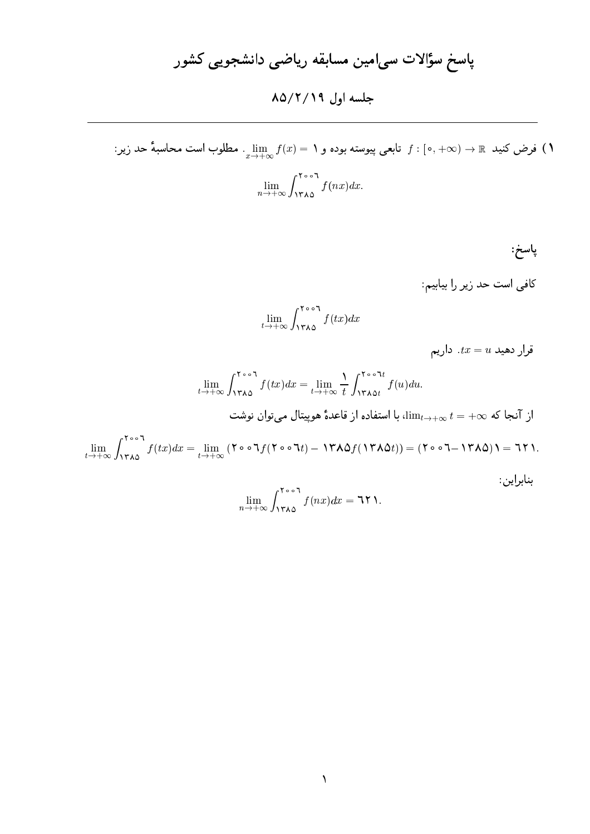### جلسه اول ١٩/٢/١٩

فرض کنید  $\mathbb{R} \to (0,+\infty)$  تابعی پیوسته بوده و ۱ $\lim_{x \to +\infty} f(x) = \lim_{x \to +\infty} f(x)$  مطلوب است محاسبهٔ حد زیر:  $\lim_{n\to+\infty}\int_{1\mathbf{r}\wedge\mathbf{0}}^{1\circ\circ 1}f(nx)dx.$ 

پاسخ:

بنابراين:

کافی است حد زیر را بیابیم:

$$
\lim_{t\to+\infty}\int_{1\mathbf{Y}\wedge\mathbf{0}}^{1\circ\circ 1}f(tx)dx
$$

قرار دهید  $\bar{u} = t$ . داریم

$$
\lim_{t \to +\infty} \int_{1\mathbf{y}_{\Lambda\Delta}}^{\mathbf{y}_{\circ},\bullet} f(tx) dx = \lim_{t \to +\infty} \frac{1}{t} \int_{1\mathbf{y}_{\Lambda\Delta t}}^{\mathbf{y}_{\circ},\bullet} f(u) du.
$$
\n
$$
[\lim_{t \to +\infty} \int_{1\mathbf{y}_{\Lambda\Delta t}}^{\mathbf{y}_{\circ},\bullet} f(tx) dx = \lim_{t \to +\infty} \frac{1}{t} \int_{1\mathbf{y}_{\Lambda\Delta t}}^{\mathbf{y}_{\circ},\bullet} f(u) du.
$$
\n
$$
\lim_{t \to +\infty} \int_{1\mathbf{y}_{\Lambda\Delta t}}^{\mathbf{y}_{\circ},\bullet} f(tx) dx = \lim_{t \to +\infty} (\mathbf{y}_{\circ},\bullet,1) f(\mathbf{y}_{\circ},\bullet,1) - \mathbf{y}_{\Lambda\Delta t} f(\mathbf{y}_{\Lambda\Delta t})) = (\mathbf{y}_{\circ},\bullet,1) f(\Lambda\Delta t) = \mathbf{y}_{\Lambda\Delta t} \mathbf{y}_{\Lambda\Delta t} = \mathbf{y}_{\Lambda\Delta t} \mathbf{y}_{\Lambda\Delta t} = \mathbf{y}_{\Lambda\Delta t} \mathbf{y}_{\Lambda\Delta t} = \mathbf{y}_{\Lambda\Delta t} \mathbf{y}_{\Lambda\Delta t} = \mathbf{y}_{\Lambda\Delta t} \mathbf{y}_{\Lambda\Delta t} = \mathbf{y}_{\Lambda\Delta t} \mathbf{y}_{\Lambda\Delta t} = \mathbf{y}_{\Lambda\Delta t} \mathbf{y}_{\Lambda\Delta t} = \mathbf{y}_{\Lambda\Delta t} \mathbf{y}_{\Lambda\Delta t} = \mathbf{y}_{\Lambda\Delta t} \mathbf{y}_{\Lambda\Delta t} = \mathbf{y}_{\Lambda\Delta t} \mathbf{y}_{\Lambda\Delta t} = \mathbf{y}_{\Lambda\Delta t} \mathbf{y}_{\Lambda\Delta t} = \mathbf{y}_{\Lambda\Delta t} \mathbf{y}_{\Lambda\Delta t} = \mathbf{y}_{\Lambda\Delta t} \mathbf{y}_{\Lambda\Delta t} = \mathbf{y}_{\Lambda\Delta t} \mathbf{y}_{\Lambda\Delta t} = \mathbf{y}_{\Lambda\Delta t} \mathbf{y}_{\Lambda\Delta t} = \mathbf{y}_{\Lambda\Delta t} \mathbf{y}_{\Lambda\Delta t} = \mathbf{y}_{\Lambda\Delta t} \mathbf{
$$

$$
\lim_{n \to +\infty} \int_{1 \text{YAO}}^{1 \text{col}} f(nx) dx = \text{1Y1}
$$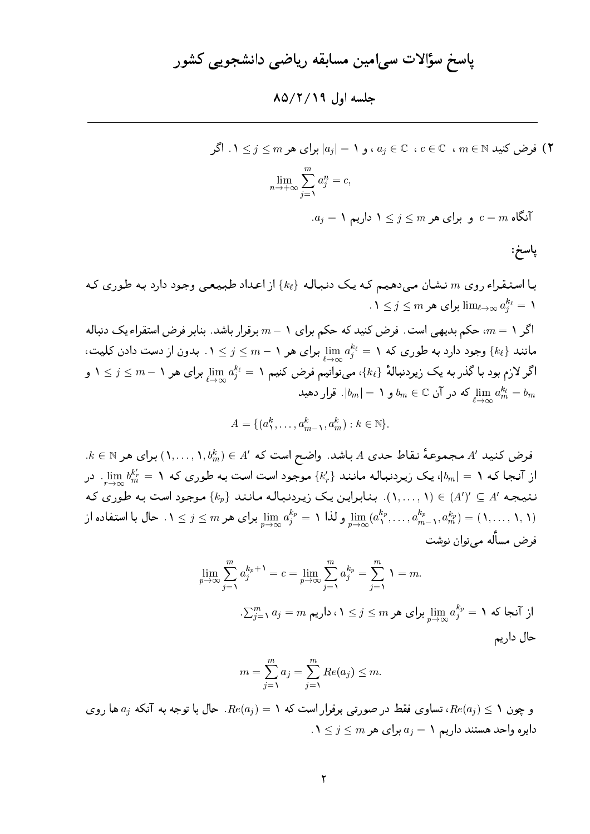#### جلسه اول ٨٥/٢/١٩

فرض کنید  $m\in\mathbb{N}$  ،  $c\in\mathbb{C}$  ،  $c\in\mathbb{C}$  ، و ۱ $|a_j|=|a_j|$  برای هر  $\mathfrak{p}\leq j\leq l$  . اگر  $\mathfrak{p}$ 

$$
\lim_{n \to +\infty} \sum_{j=1}^{m} a_j^n = c
$$

 $a_j = 1$  آنگاه  $c = m$  و برای هر  $j \leq j \leq m$  داریم

پاسخ:

با استنقراء روی m نشان می دهیم که یک دنباله  $\{k_\ell\}$  از اعداد طبیعی وجود دارد به طوری که  $0.1 \leq j \leq m$  برای هر  $\lim_{\ell \to \infty} a_i^{k_\ell} = 1$ 

اگر ۱ $m=0$ ، حکم بدیهی است. فرض کنید که حکم برای ۱ $m-1$  برقرار باشد. بنابر فرض استقراء یک دنباله مانند  $\{k_\ell\}$  وجود دارد به طوری که ۱ $a_j^{k_\ell} = \lim\limits_{n \to \infty} a_j^{k_\ell} = \min\limits_{j=1}^N a_j^{k_\ell}$  بدون از دست دادن کلیت، اگر لازم بود با گذر به یک زیردنبالهٔ  $\{k_\ell\}$ ، میتوانیم فرض کنیم ۱ $a_j^{k_\ell} = \lim_{j\to\infty} a_j^{k_\ell}$  برای هر ۱ $j\leq j\leq k$  و ی در آن  $b_m = b_m$  و ۱ $|b_m| = b_m$ . قرار دهید  $\lim_{k \to \infty} a_m^{k_\ell} = b_m$ 

$$
A = \{ (a_1^k, \ldots, a_{m-1}^k, a_m^k) : k \in \mathbb{N} \}.
$$

 $k\in\mathbb{N}$  میجموعهٔ نقاط حدی  $A$  باشد. واضح است که  $A'\in\mathbb{N}$  , ۱٬ برای هر  $A'\in\mathbb{N}$ از آنجا که ۱ $\lim_{r\to\infty} b_m^{k'_r} = |b_m|$ ، یک زیردنباله مانند  $\{k'_r\}$  موجود است است به طوری که ۱ $b_m^{k'_r} = b_m^{k'_r}$ . در نتیجه 'A ع '(A') ( (A')..., ۱). بنابراین یک زیردنباله مانند  $\{k_p\}$  موجود است به طوری که و لذا ۱ $\lim_{n\to\infty}a_j^{k_p}=a_j^{k_p}$  برای هر  $j\leq m$  . حال با استفاده از  $\lim_{n\to\infty}a_j^{k_p}=1$  برای هر  $(1,\ldots,1,1)$ فرض مسأله مے توان نوشت

$$
\lim_{p \to \infty} \sum_{j=1}^{m} a_j^{k_p+1} = c = \lim_{p \to \infty} \sum_{j=1}^{m} a_j^{k_p} = \sum_{j=1}^{m} 1 = m.
$$
\n
$$
\sum_{j=1}^{m} a_j = m \text{ mod } 1 \le j \le m \text{ mod } a_j^{k_p} = 1 \text{ mod } 1.
$$
\n
$$
\lim_{p \to \infty} a_j^{k_p} = \sum_{j=1}^{m} a_j^{k_p} = \sum_{j=1}^{m} a_j^{k_p} = \sum_{j=1}^{m} a_j^{k_p} = \sum_{j=1}^{m} a_j^{k_p} = \sum_{j=1}^{m} a_j^{k_p} = \sum_{j=1}^{m} a_j^{k_p} = \sum_{j=1}^{m} a_j^{k_p} = \sum_{j=1}^{m} a_j^{k_p} = \sum_{j=1}^{m} a_j^{k_p} = \sum_{j=1}^{m} a_j^{k_p} = \sum_{j=1}^{m} a_j^{k_p} = \sum_{j=1}^{m} a_j^{k_p} = \sum_{j=1}^{m} a_j^{k_p} = \sum_{j=1}^{m} a_j^{k_p} = \sum_{j=1}^{m} a_j^{k_p} = \sum_{j=1}^{m} a_j^{k_p} = \sum_{j=1}^{m} a_j^{k_p} = \sum_{j=1}^{m} a_j^{k_p} = \sum_{j=1}^{m} a_j^{k_p} = \sum_{j=1}^{m} a_j^{k_p} = \sum_{j=1}^{m} a_j^{k_p} = \sum_{j=1}^{m} a_j^{k_p} = \sum_{j=1}^{m} a_j^{k_p} = \sum_{j=1}^{m} a_j^{k_p} = \sum_{j=1}^{m} a_j^{k_p} = \sum_{j=1}^{m} a_j^{k_p} = \sum_{j=1}^{m} a_j^{k_p} = \sum_{j=1}^{m} a_j^{k_p} = \sum_{j=1}^{m} a_j^{k_p} = \sum_{j=1}^{m} a_j^{k_p} = \sum_{j=1}^{m} a_j^{k_p} = \sum_{j=1}^{m} a_j^{k_p} = \sum_{j=1}^{m} a_j^{k_p} = \sum_{j=1}^{m} a_j^{k_p} = \sum_{j=1}^{m} a_j^{k_p} = \sum_{j=1}^{m}
$$

$$
m = \sum_{j=1}^{m} a_j = \sum_{j=1}^{m} Re(a_j) \leq m
$$

و چون ۱ $e(a_j) \leq R$ ، تساوی فقط در صورتی برقرار است که ۱ $e(a_j) = R$ . حال با توجه به آنکه  $a_j$  ها روی  $0 \leq j \leq m$  دایره واحد هستند داریم ۱ $a_j = a_j = a$  برای هر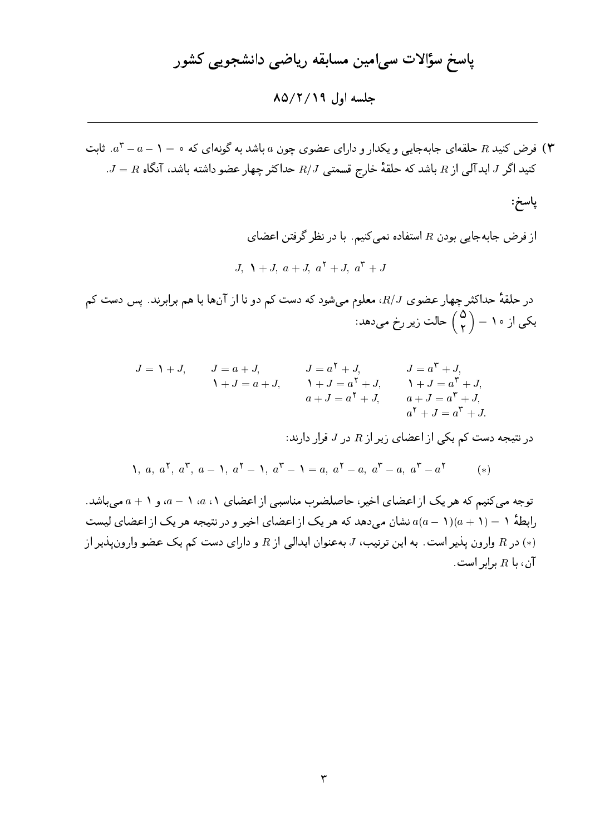جلسه اول ۸۵/۲/۱۹

ا فرض کنید R حلقهای جابهجایی و یکدار و دارای عضوی چون a باشد به گونهای که ۰ = ۱ – a - ۲ .. ثابت "  $J = R$  کنید اگر J، اید آلی از  $R$  باشد که حلقهٔ خارج قسمتی  $R/J$  حداکثر چهار عضو داشته باشد، آنگاه  $J = J$ .

پاسخ:

از فرض جابهجایی بودن  $R$  استفاده نمیکنیم. با در نظر گرفتن اعضای  $J, \lambda + J, a + J, a^{\dagger} + J, a^{\dagger} + J$ 

در حلقهٔ حداکثر چهار عضوی  $R/J$ ، معلوم میشود که دست کم دو تا از آنها با هم برابرند. پس دست کم یکی از ۱۰ =  $\left(\begin{matrix} 0\cr \mathsf{y} \end{matrix}\right)$  حالت زیر رخ میدهد:

$$
J = \mathbf{1} + J, \qquad J = a + J, \qquad J = a^{\mathsf{T}} + J, \qquad J = a^{\mathsf{T}} + J, \mathbf{1} + J = a + J, \qquad \mathbf{1} + J = a^{\mathsf{T}} + J, \qquad \mathbf{1} + J = a^{\mathsf{T}} + J, \n\begin{aligned}\na + J &= a^{\mathsf{T}} + J, & a + J &= a^{\mathsf{T}} + J, \na^{\mathsf{T}} + J &= a^{\mathsf{T}} + J, \na^{\mathsf{T}} + J &= a^{\mathsf{T}} + J.\n\end{aligned}
$$

در نتیجه دست کم یکی از اعضای زیر از  $R$  در J قرار دارند:

$$
\Lambda, a, a^{\dagger}, a^{\dagger}, a - \Lambda, a^{\dagger} - \Lambda, a^{\dagger} - \Lambda = a, a^{\dagger} - a, a^{\dagger} - a, a^{\dagger} - a^{\dagger}
$$
 (\*)

توجه می کنیم که هر یک از اعضای اخیر، حاصلضرب مناسبی از اعضای ۱، a، ۱ – a، و ۱ + a می باشد. رابطهٔ ۱ $(1-\alpha)(a-1)$  نشان میردهد که هر یک از اعضای اخیر و در نتیجه هر یک از اعضای لیست در R وارون پذیر است. به این ترتیب، J بهعنوان ایدالی از R و دارای دست کم یک عضو وارونپذیر از  $\left( * \right)$  $R$ ان، با  $R$  برابر است.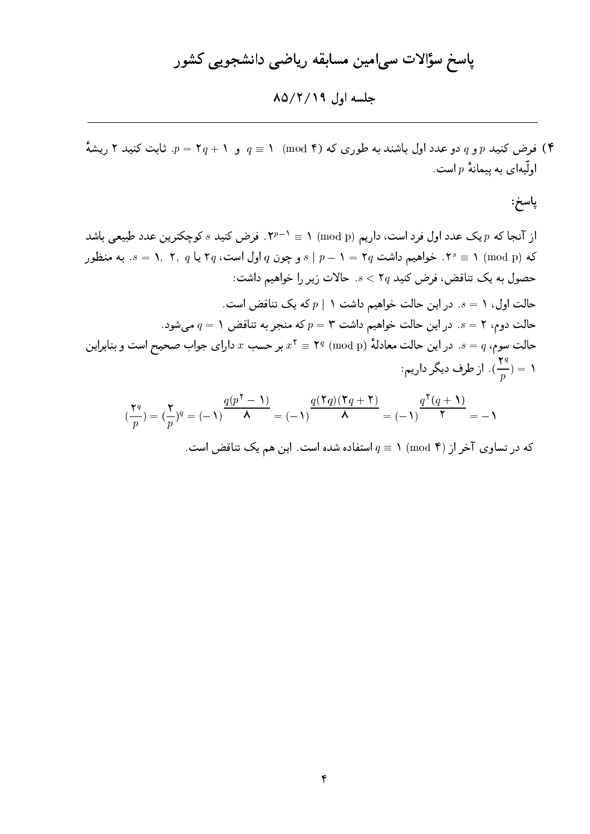جلسه اول ۸۵/۲/۱۹

ا) فرض کنید p و q دو عدد اول باشند به طوری که (۴ mod) ۱ = q و ۰ +  $p$  = r ثابت کنید ۲ ریشهٔ (۴ اولّیهای به پیمانهٔ  $p$ است.

پاسخ:

از آنجا که p یک عدد اول فرد است، داریم (mod p) ۱ = ۰ "۲". فرض کنید  $s$  کوچکترین عدد طبیعی باشد که (mod p) ۲  $s \equiv s + 1$ . خواهیم داشت  $\mathsf{y} = \mathsf{y} = \mathsf{y} = \mathsf{y} = \mathsf{y} = \mathsf{y}$ . به منظور حصول به یک تناقض، فرض کنید 7q > s حالات زیر را خواهیم داشت: حالت اول، ١ = ۶. در اين حالت خواهيم داشت ١ | p كه يك تناقض است. حالت دوم، ۲ = ۶. در این حالت خواهیم داشت ۳ = p که منجر به تناقض ۱ =  $q$  میشود. حالت سوم،  $q$  = 8. در این حالت معادلهٔ (mod p) \* = ٢ بر حسب  $x$  دارای جواب صحیح است و بنابراین ا = (1). از طرف دیگر داریم:  $(\frac{\mathsf{y}^q}{n}) = \mathsf{y}$ 

$$
\left(\frac{\mathbf{y}_q}{p}\right) = \left(\frac{\mathbf{y}_q}{p}\right)^q = (-1)^{\frac{q(p^{\mathsf{T}} - 1)}{\mathsf{A}}} = (-1)^{\frac{q(\mathsf{T}q)(\mathsf{T}q + \mathsf{T})}{\mathsf{A}}} = (-1)^{\frac{q^{\mathsf{T}}(q + 1)}{\mathsf{T}}} = -1
$$

که در تساوی آخر از (۴ mod) ۱ =  $q \equiv 1 \pmod{5}$  استفاده شده است. این هم یک تناقض است.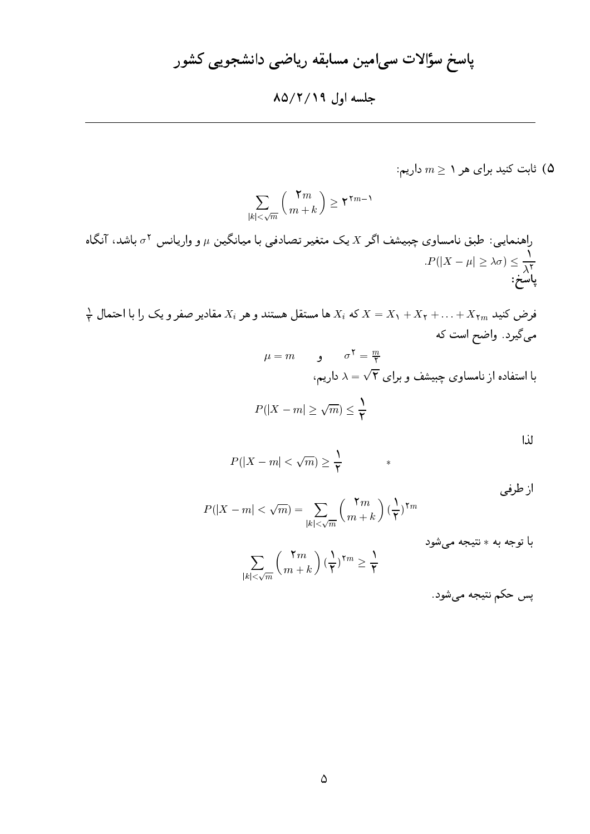### جلسه اول ۸۵/۲/۱۹

: ثابت کنید برای هر ۱ $m \geq n$  داریم  $( \Delta$ 

$$
\sum_{|k| < \sqrt{m}} \binom{\mathbf{v}_m}{m+k} \geq \mathbf{v}^{\mathbf{v}_{m-1}}
$$

 $\frac{1}{\tau}$ فرض کنید  $X_{\tau m}$  ب $X_{\tau}+X_{\tau}+X_{\tau}+X_{\tau}+X_{\tau}+X_{\tau}$  ها مستقل هستند و هر  $X_i$  مقادیر صفر و یک را با احتمال  $\frac{1}{\tau}$ میگیرد. واضح است که

$$
\mu = m \qquad \qquad \sigma^{\mathsf{Y}} = \frac{m}{\mathsf{Y}}
$$
\n
$$
\lambda = \sqrt{\mathsf{Y}} \quad \text{y} \quad \text{z}
$$

$$
P(|X - m| \ge \sqrt{m}) \le \frac{1}{\mathsf{Y}}
$$

| ×            |    |
|--------------|----|
|              |    |
|              |    |
| I<br>×<br>۰. | ۰, |

$$
P(|X - m| < \sqrt{m}) \ge \frac{1}{\mathsf{Y}} \qquad \qquad *
$$

از طرفی

$$
P(|X - m| < \sqrt{m}) = \sum_{|k| < \sqrt{m}} \binom{\mathbf{Y}m}{m+k} \left(\frac{\mathbf{Y}}{\mathbf{Y}}\right)^{\mathbf{Y}m}
$$

با توجه به  $*$  نتيجه ميشود

$$
\sum_{|k|<\sqrt{m}} \left(\frac{\mathbf{Y} m}{m+k}\right) (\frac{\mathbf{Y}}{\mathbf{Y}})^{\mathbf{Y} m} \geq \frac{\mathbf{Y}}{\mathbf{Y}}
$$

پس حکم نتيجه ميشود.